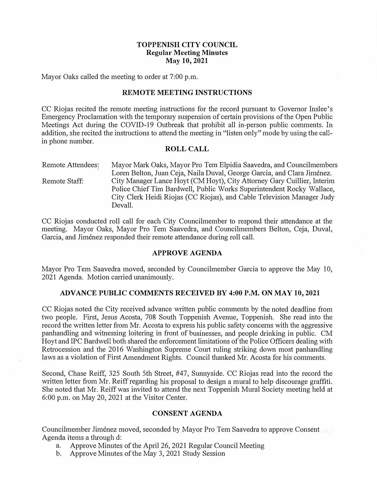# **TOPPENISH CITY COUNCIL Regular Meeting Minutes May 10, 2021**

Mayor Oaks called the meeting to order at 7:00 p.m.

#### **REMOTE MEETING INSTRUCTIONS**

CC Riojas recited the remote meeting instructions for the record pursuant to Governor Inslee's Emergency Proclamation with the temporary suspension of certain provisions of the Open Public Meetings Act during the COVID-19 Outbreak that prohibit all in-person public comments. In addition, she recited the instructions to attend the meeting in "listen only" mode by using the callin phone number.

#### **ROLL CALL**

Remote Attendees:  $\mathcal{L}$ Remote Staff: Mayor Mark Oaks, Mayor Pro Tern Elpidia Saavedra, and Councilmembers Loren Belton, Juan Ceja, Naila Duval, George Garcia, and Clara Jiménez. City Manager Lance Hoyt (CM Hoyt), City Attorney Gary Cuillier, Interim Police Chief Tim Bardwell, Public Works Superintendent Rocky Wallace, City Clerk Heidi Riojas (CC Riojas), and Cable Television Manager Judy Devall.

CC Riojas conducted roll call for each City Councilmember to respond their attendance at the meeting. Mayor Oaks, Mayor Pro Tem Saavedra, and Councilmembers Belton, Ceja, Duval, Garcia, and Jiménez responded their remote attendance during roll call.

#### **APPROVE AGENDA**

Mayor Pro Tem Saavedra moved, seconded by Councilmember Garcia to approve the May 10, 2021 Agenda. Motion carried unanimously.

#### **ADVANCE PUBLIC COMMENTS RECEIVED BY 4:00 P.M. ON MAY 10, 2021**

CC Riojas noted the City received advance written public conunents by the noted deadline from two people. First, Jesus Acosta, 708 South Toppenish Avenue, Toppenish. She read into the record the written letter from Mr. Acosta to express his public safety concerns with the aggressive panhandling and witnessing loitering in front of businesses, and people drinking in public. CM Hoyt and IPC Bardwell both shared the enforcement limitations of the Police Officers dealing with Retrocession and the 2016 Washington Supreme Court ruling striking down most panhandling laws as a violation of First Amendment Rights. Council thanked Mr. Acosta for his comments.

Second, Chase Reiff, 325 South 5th Street, #47, Sunnyside. CC Riojas read into the record the written letter from Mr. Reiff regarding his proposal to design a mural to help discourage graffiti. She noted that Mr. Reiff was invited to attend the next Toppenish Mural Society meeting held at 6:00 p.m. on May 20, 2021 at the Visitor Center.

# **CONSENT AGENDA**

Councilmember Jimenez moved, seconded by Mayor Pro Tem Saavedra to approve Consent Agenda items a through d:

- a. Approve Minutes of the April 26, 2021 Regular Council Meeting
- b. Approve Minutes of the May 3, 2021 Study Session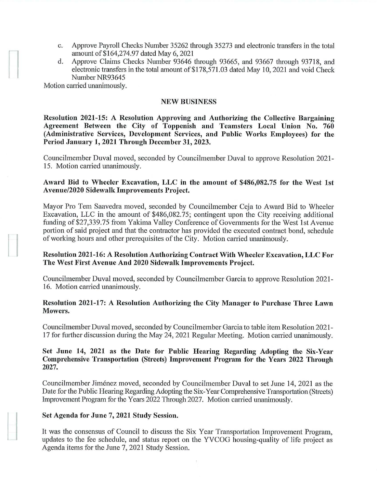- c. Approve Payroll Checks Number 35262 through 35273 and electronic transfers in the total amount of \$164,274.97 dated May 6, 2021
- d. Approve Claims Checks Number 93646 through 93665, and 93667 through 93718, and electronic transfers in the total amount of \$178,571.03 dated May 10, 2021 and void Check Number NR93645

Motion carried unanimously.

## **NEW BUSINESS**

**Resolution 2021-15: A Resolution Approving and Authorizing the Collective Bargaining Agreement Between the City of Toppenish and Teamsters Local Union No. 760 (Administrative Services, Development Services, and Public Works Employees) for the Period January 1, 2021 Through December 31, 2023.** 

Councilmember Duval moved, seconded by Councilmember Duval to approve Resolution 2021- 15. Motion carried unanimously.

# Award Bid to Wheeler Excavation, LLC in the amount of \$486,082.75 for the West 1st **Avenue/2020 Sidewalk Improvements Project.**

Mayor Pro Tem Saavedra moved, seconded by Councilmember Ceja to Award Bid to Wheeler Excavation, LLC in the amount of \$486,082.75; contingent upon the City receiving additional funding of \$27,339.75 from Yakima Valley Conference of Governments for the West 1st Avenue portion of said project and that the contractor has provided the executed contract bond, schedule of working hours and other prerequisites of the City. Motion carried unanimously.

## **Resolution 2021-16: A Resolution Authorizing Contract With Wheeler Excavation, LLC For The West First Avenue And 2020 Sidewalk Improvements Project.**

Councilmember Duval moved, seconded by Councilmember Garcia to approve Resolution 2021- 16. Motion carried unanimously.

## **Resolution 2021-17: A Resolution Authorizing the City Manager to Purchase Three Lawn Mowers.**

Councilmember Duval moved, seconded by Councilmember Garcia to table item Resolution 2021- 17 for further discussion during the May 24, 2021 Regular Meeting. Motion carried unanimously.

## **Set June 14, 2021 as the Date for Public Hearing Regarding Adopting the Six-Year Comprehensive Transportation (Streets) Improvement Program for the Years 2022 Through 2027.**

Councilmember Jimenez moved, seconded by Councilmember Duval to set June 14, 2021 as the Date for the Public Hearing Regarding Adopting the Six-Year Comprehensive Transportation (Streets) Improvement Program for the Years 2022 Through 2027. Motion carried unanimously.

# **Set Agenda for June 7, 2021 Study Session.**

It was the consensus of Council to discuss the Six Year Transportation Improvement Program, updates to the fee schedule, and status report on the YVCOG housing-quality of life project as Agenda items for the June 7, 2021 Study Session.